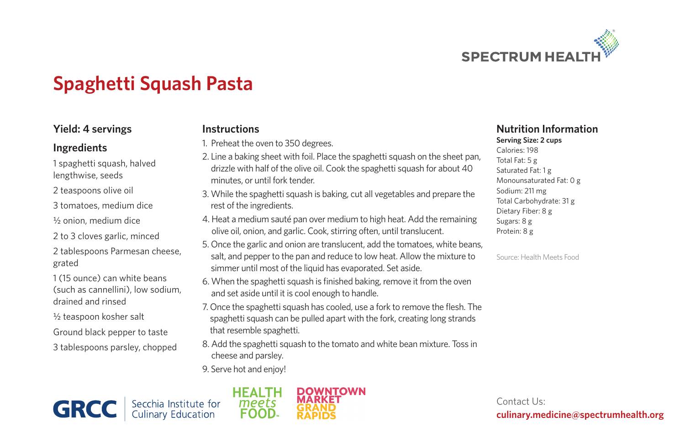

## **Spaghetti Squash Pasta**

### **Yield: 4 servings**

#### **Ingredients**

1 spaghetti squash, halved lengthwise, seeds

2 teaspoons olive oil

3 tomatoes, medium dice

½ onion, medium dice

2 to 3 cloves garlic, minced

2 tablespoons Parmesan cheese, grated

1 (15 ounce) can white beans (such as cannellini), low sodium, drained and rinsed

½ teaspoon kosher salt

Ground black pepper to taste

3 tablespoons parsley, chopped

#### **Instructions**

- 1. Preheat the oven to 350 degrees.
- 2. Line a baking sheet with foil. Place the spaghetti squash on the sheet pan, drizzle with half of the olive oil. Cook the spaghetti squash for about 40 minutes, or until fork tender.
- 3. While the spaghetti squash is baking, cut all vegetables and prepare the rest of the ingredients.
- 4. Heat a medium sauté pan over medium to high heat. Add the remaining olive oil, onion, and garlic. Cook, stirring often, until translucent.
- 5. Once the garlic and onion are translucent, add the tomatoes, white beans, salt, and pepper to the pan and reduce to low heat. Allow the mixture to simmer until most of the liquid has evaporated. Set aside.
- 6. When the spaghetti squash is finished baking, remove it from the oven and set aside until it is cool enough to handle.
- 7. Once the spaghetti squash has cooled, use a fork to remove the flesh. The spaghetti squash can be pulled apart with the fork, creating long strands that resemble spaghetti.
- 8. Add the spaghetti squash to the tomato and white bean mixture. Toss in cheese and parsley.
- 9. Serve hot and enjoy!







#### **Nutrition Information Serving Size: 2 cups**

Calories: 198 Total Fat: 5 g Saturated Fat: 1 g Monounsaturated Fat: 0 g Sodium: 211 mg Total Carbohydrate: 31 g Dietary Fiber: 8 g Sugars: 8 g Protein: 8 g

Source: Health Meets Food

Contact Us: **culinary.medicine@spectrumhealth.org**